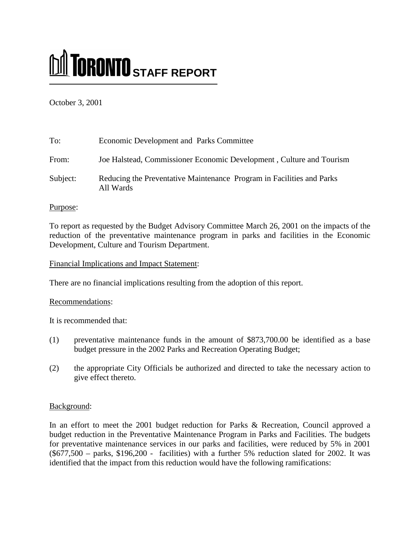# **M** TORONTO STAFF REPORT

October 3, 2001

| To:      | Economic Development and Parks Committee                                           |
|----------|------------------------------------------------------------------------------------|
| From:    | Joe Halstead, Commissioner Economic Development, Culture and Tourism               |
| Subject: | Reducing the Preventative Maintenance Program in Facilities and Parks<br>All Wards |

Purpose:

To report as requested by the Budget Advisory Committee March 26, 2001 on the impacts of the reduction of the preventative maintenance program in parks and facilities in the Economic Development, Culture and Tourism Department.

Financial Implications and Impact Statement:

There are no financial implications resulting from the adoption of this report.

### Recommendations:

It is recommended that:

- (1) preventative maintenance funds in the amount of \$873,700.00 be identified as a base budget pressure in the 2002 Parks and Recreation Operating Budget;
- (2) the appropriate City Officials be authorized and directed to take the necessary action to give effect thereto.

# Background:

In an effort to meet the 2001 budget reduction for Parks & Recreation, Council approved a budget reduction in the Preventative Maintenance Program in Parks and Facilities. The budgets for preventative maintenance services in our parks and facilities, were reduced by 5% in 2001  $(\$677,500 - \text{parks}, \$196,200 - \text{facilities}$  with a further 5% reduction slated for 2002. It was identified that the impact from this reduction would have the following ramifications: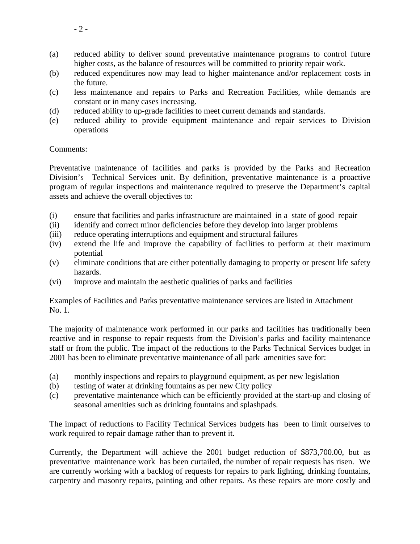- (a) reduced ability to deliver sound preventative maintenance programs to control future higher costs, as the balance of resources will be committed to priority repair work.
- (b) reduced expenditures now may lead to higher maintenance and/or replacement costs in the future.
- (c) less maintenance and repairs to Parks and Recreation Facilities, while demands are constant or in many cases increasing.
- (d) reduced ability to up-grade facilities to meet current demands and standards.
- (e) reduced ability to provide equipment maintenance and repair services to Division operations

### Comments:

Preventative maintenance of facilities and parks is provided by the Parks and Recreation Division's Technical Services unit. By definition, preventative maintenance is a proactive program of regular inspections and maintenance required to preserve the Department's capital assets and achieve the overall objectives to:

- (i) ensure that facilities and parks infrastructure are maintained in a state of good repair
- (ii) identify and correct minor deficiencies before they develop into larger problems
- (iii) reduce operating interruptions and equipment and structural failures
- (iv) extend the life and improve the capability of facilities to perform at their maximum potential
- (v) eliminate conditions that are either potentially damaging to property or present life safety hazards.
- (vi) improve and maintain the aesthetic qualities of parks and facilities

Examples of Facilities and Parks preventative maintenance services are listed in Attachment No. 1.

The majority of maintenance work performed in our parks and facilities has traditionally been reactive and in response to repair requests from the Division's parks and facility maintenance staff or from the public. The impact of the reductions to the Parks Technical Services budget in 2001 has been to eliminate preventative maintenance of all park amenities save for:

- (a) monthly inspections and repairs to playground equipment, as per new legislation
- (b) testing of water at drinking fountains as per new City policy
- (c) preventative maintenance which can be efficiently provided at the start-up and closing of seasonal amenities such as drinking fountains and splashpads.

The impact of reductions to Facility Technical Services budgets has been to limit ourselves to work required to repair damage rather than to prevent it.

Currently, the Department will achieve the 2001 budget reduction of \$873,700.00, but as preventative maintenance work has been curtailed, the number of repair requests has risen. We are currently working with a backlog of requests for repairs to park lighting, drinking fountains, carpentry and masonry repairs, painting and other repairs. As these repairs are more costly and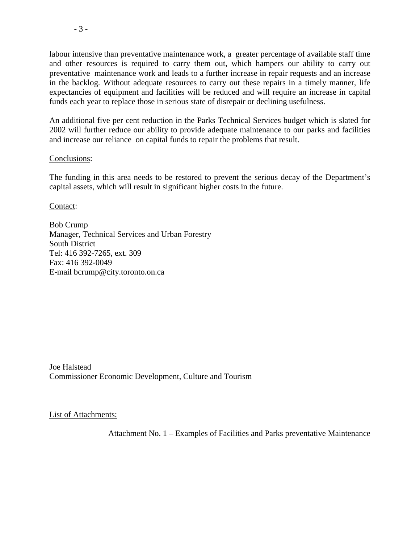labour intensive than preventative maintenance work, a greater percentage of available staff time and other resources is required to carry them out, which hampers our ability to carry out preventative maintenance work and leads to a further increase in repair requests and an increase in the backlog. Without adequate resources to carry out these repairs in a timely manner, life expectancies of equipment and facilities will be reduced and will require an increase in capital funds each year to replace those in serious state of disrepair or declining usefulness.

An additional five per cent reduction in the Parks Technical Services budget which is slated for 2002 will further reduce our ability to provide adequate maintenance to our parks and facilities and increase our reliance on capital funds to repair the problems that result.

### Conclusions:

The funding in this area needs to be restored to prevent the serious decay of the Department's capital assets, which will result in significant higher costs in the future.

Contact:

Bob Crump Manager, Technical Services and Urban Forestry South District Tel: 416 392-7265, ext. 309 Fax: 416 392-0049 E-mail bcrump@city.toronto.on.ca

Joe Halstead Commissioner Economic Development, Culture and Tourism

List of Attachments:

Attachment No. 1 – Examples of Facilities and Parks preventative Maintenance